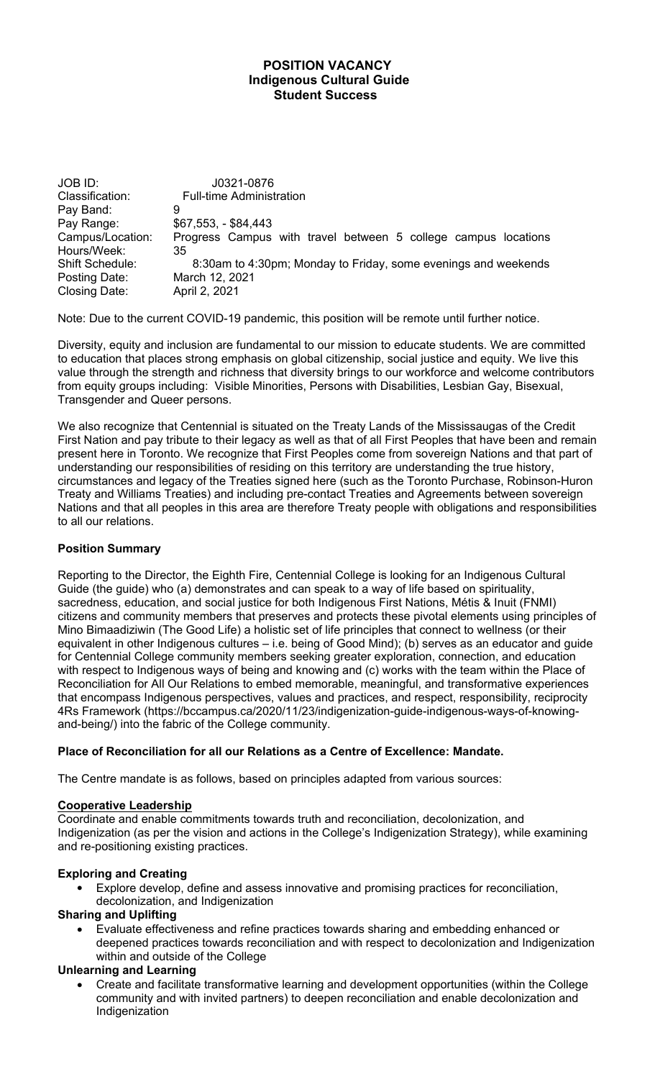#### **POSITION VACANCY Indigenous Cultural Guide Student Success**

JOB ID: J0321-0876 Classification: Full-time Administration Pay Band: 9 Pay Range: \$67,553, - \$84,443 Campus/Location: Progress Campus with travel between 5 college campus locations Hours/Week: 35 Shift Schedule: 8:30am to 4:30pm; Monday to Friday, some evenings and weekends Posting Date: March 12, 2021 Closing Date: April 2, 2021

Note: Due to the current COVID-19 pandemic, this position will be remote until further notice.

Diversity, equity and inclusion are fundamental to our mission to educate students. We are committed to education that places strong emphasis on global citizenship, social justice and equity. We live this value through the strength and richness that diversity brings to our workforce and welcome contributors from equity groups including: Visible Minorities, Persons with Disabilities, Lesbian Gay, Bisexual, Transgender and Queer persons.

We also recognize that Centennial is situated on the Treaty Lands of the Mississaugas of the Credit First Nation and pay tribute to their legacy as well as that of all First Peoples that have been and remain present here in Toronto. We recognize that First Peoples come from sovereign Nations and that part of understanding our responsibilities of residing on this territory are understanding the true history, circumstances and legacy of the Treaties signed here (such as the Toronto Purchase, Robinson-Huron Treaty and Williams Treaties) and including pre-contact Treaties and Agreements between sovereign Nations and that all peoples in this area are therefore Treaty people with obligations and responsibilities to all our relations.

# **Position Summary**

Reporting to the Director, the Eighth Fire, Centennial College is looking for an Indigenous Cultural Guide (the guide) who (a) demonstrates and can speak to a way of life based on spirituality, sacredness, education, and social justice for both Indigenous First Nations, Métis & Inuit (FNMI) citizens and community members that preserves and protects these pivotal elements using principles of Mino Bimaadiziwin (The Good Life) a holistic set of life principles that connect to wellness (or their equivalent in other Indigenous cultures – i.e. being of Good Mind); (b) serves as an educator and guide for Centennial College community members seeking greater exploration, connection, and education with respect to Indigenous ways of being and knowing and (c) works with the team within the Place of Reconciliation for All Our Relations to embed memorable, meaningful, and transformative experiences that encompass Indigenous perspectives, values and practices, and respect, responsibility, reciprocity 4Rs Framework (https://bccampus.ca/2020/11/23/indigenization-guide-indigenous-ways-of-knowingand-being/) into the fabric of the College community.

#### **Place of Reconciliation for all our Relations as a Centre of Excellence: Mandate.**

The Centre mandate is as follows, based on principles adapted from various sources:

#### **Cooperative Leadership**

Coordinate and enable commitments towards truth and reconciliation, decolonization, and Indigenization (as per the vision and actions in the College's Indigenization Strategy), while examining and re-positioning existing practices.

#### **Exploring and Creating**

 Explore develop, define and assess innovative and promising practices for reconciliation, decolonization, and Indigenization

#### **Sharing and Uplifting**

 Evaluate effectiveness and refine practices towards sharing and embedding enhanced or deepened practices towards reconciliation and with respect to decolonization and Indigenization within and outside of the College

#### **Unlearning and Learning**

 Create and facilitate transformative learning and development opportunities (within the College community and with invited partners) to deepen reconciliation and enable decolonization and Indigenization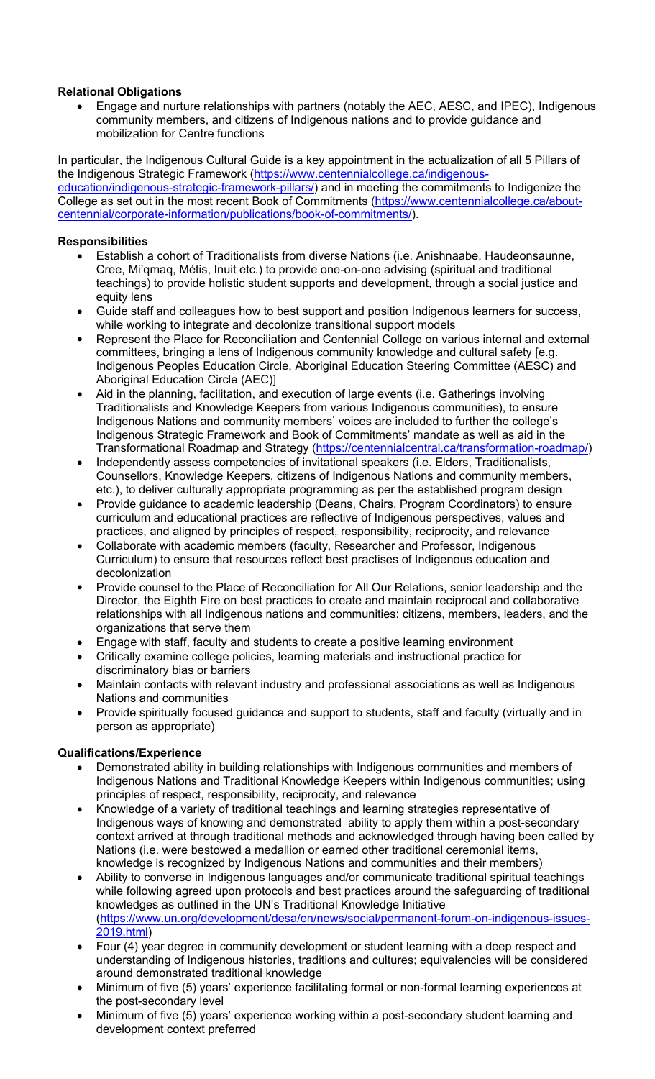### **Relational Obligations**

 Engage and nurture relationships with partners (notably the AEC, AESC, and IPEC), Indigenous community members, and citizens of Indigenous nations and to provide guidance and mobilization for Centre functions

In particular, the Indigenous Cultural Guide is a key appointment in the actualization of all 5 Pillars of the Indigenous Strategic Framework (https://www.centennialcollege.ca/indigenouseducation/indigenous-strategic-framework-pillars/) and in meeting the commitments to Indigenize the College as set out in the most recent Book of Commitments (https://www.centennialcollege.ca/aboutcentennial/corporate-information/publications/book-of-commitments/).

### **Responsibilities**

- Establish a cohort of Traditionalists from diverse Nations (i.e. Anishnaabe, Haudeonsaunne, Cree, Mi'qmaq, Métis, Inuit etc.) to provide one-on-one advising (spiritual and traditional teachings) to provide holistic student supports and development, through a social justice and equity lens
- Guide staff and colleagues how to best support and position Indigenous learners for success, while working to integrate and decolonize transitional support models
- Represent the Place for Reconciliation and Centennial College on various internal and external committees, bringing a lens of Indigenous community knowledge and cultural safety [e.g. Indigenous Peoples Education Circle, Aboriginal Education Steering Committee (AESC) and Aboriginal Education Circle (AEC)]
- Aid in the planning, facilitation, and execution of large events (i.e. Gatherings involving Traditionalists and Knowledge Keepers from various Indigenous communities), to ensure Indigenous Nations and community members' voices are included to further the college's Indigenous Strategic Framework and Book of Commitments' mandate as well as aid in the Transformational Roadmap and Strategy (https://centennialcentral.ca/transformation-roadmap/)
- Independently assess competencies of invitational speakers (i.e. Elders, Traditionalists, Counsellors, Knowledge Keepers, citizens of Indigenous Nations and community members, etc.), to deliver culturally appropriate programming as per the established program design
- Provide guidance to academic leadership (Deans, Chairs, Program Coordinators) to ensure curriculum and educational practices are reflective of Indigenous perspectives, values and practices, and aligned by principles of respect, responsibility, reciprocity, and relevance
- Collaborate with academic members (faculty, Researcher and Professor, Indigenous Curriculum) to ensure that resources reflect best practises of Indigenous education and decolonization
- Provide counsel to the Place of Reconciliation for All Our Relations, senior leadership and the Director, the Eighth Fire on best practices to create and maintain reciprocal and collaborative relationships with all Indigenous nations and communities: citizens, members, leaders, and the organizations that serve them
- Engage with staff, faculty and students to create a positive learning environment
- Critically examine college policies, learning materials and instructional practice for discriminatory bias or barriers
- Maintain contacts with relevant industry and professional associations as well as Indigenous Nations and communities
- Provide spiritually focused guidance and support to students, staff and faculty (virtually and in person as appropriate)

# **Qualifications/Experience**

- Demonstrated ability in building relationships with Indigenous communities and members of Indigenous Nations and Traditional Knowledge Keepers within Indigenous communities; using principles of respect, responsibility, reciprocity, and relevance
- Knowledge of a variety of traditional teachings and learning strategies representative of Indigenous ways of knowing and demonstrated ability to apply them within a post-secondary context arrived at through traditional methods and acknowledged through having been called by Nations (i.e. were bestowed a medallion or earned other traditional ceremonial items, knowledge is recognized by Indigenous Nations and communities and their members)
- Ability to converse in Indigenous languages and/or communicate traditional spiritual teachings while following agreed upon protocols and best practices around the safeguarding of traditional knowledges as outlined in the UN's Traditional Knowledge Initiative (https://www.un.org/development/desa/en/news/social/permanent-forum-on-indigenous-issues-2019.html)
- Four (4) year degree in community development or student learning with a deep respect and understanding of Indigenous histories, traditions and cultures; equivalencies will be considered around demonstrated traditional knowledge
- Minimum of five (5) years' experience facilitating formal or non-formal learning experiences at the post-secondary level
- Minimum of five (5) years' experience working within a post-secondary student learning and development context preferred